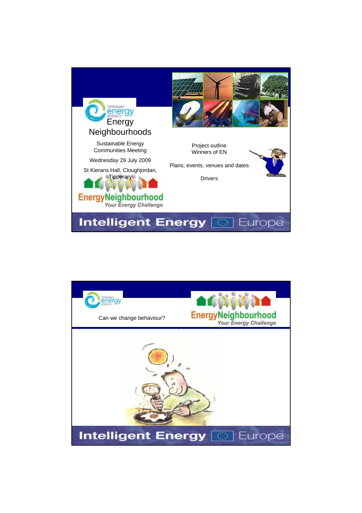

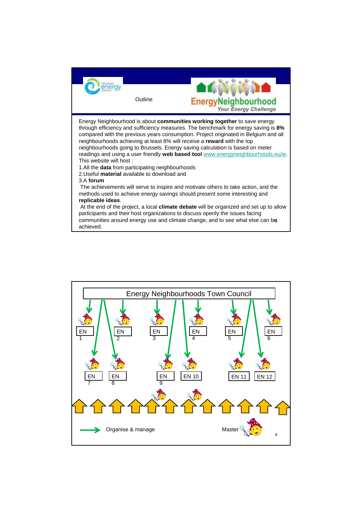

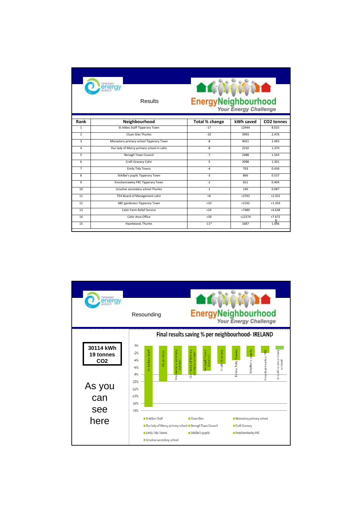| <b>TPPERARY</b><br><b>Results</b> |                                           | <b>ATC</b><br>EnergyNeighbourhood |           |                   |
|-----------------------------------|-------------------------------------------|-----------------------------------|-----------|-------------------|
| Rank                              | Neighbourhood                             | Total % change                    | kWh saved | CO2 tonnes        |
| $\mathbf{1}$                      | St Ailbes Staff Tipperary Town            | $-17$                             | 12944     | 8.025             |
| $\overline{2}$                    | Cluan Glas Thurles                        | $-10$                             | 3993      | 2.476             |
| $\overline{3}$                    | Monastery primary school Tipperary Town   | $-8$                              | 4021      | 2.493             |
| 4                                 | Our lady of Mercy primary school in cahir | $-8$                              | 2210      | 1.370             |
| 5                                 | Nenagh Town Council                       | $-7$                              | 2488      | 1.543             |
| 6                                 | Craft Granary Cahir                       | $-5$                              | 2098      | 1.301             |
| $\overline{7}$                    | <b>Emily Tidy Towns</b>                   | $-4$                              | 703       | 0.436             |
| 8                                 | StAilbe's pupils Tipperary Town           | $-3$                              | 866       | 0.537             |
| $\mathbf{q}$                      | Knockanrawley FRC Tipperary Town          | $-2$                              | 651       | 0.404             |
| 10                                | Ursuline secondary school Thurles         | $-1$                              | 140       | 0.087             |
| 11                                | TEA Board of Management cahir             | $+8$                              | $+3793$   | $+2.352$          |
| 12                                | ABC gardeners Tipperary Town              | $+10$                             | $+2192$   | $+1.359$          |
| 13                                | Cahir Farm Relief Service                 | $+24$                             | $+7480$   | $+4.638$          |
| 14                                | Cahir Area Office                         | $+39$                             | $+12374$  | $+7.672$          |
| 15                                | Hazelwood, Thurles                        | $-11*$                            | 1687      | $\frac{5}{1.046}$ |

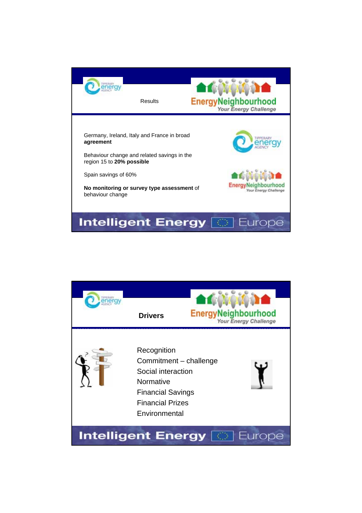